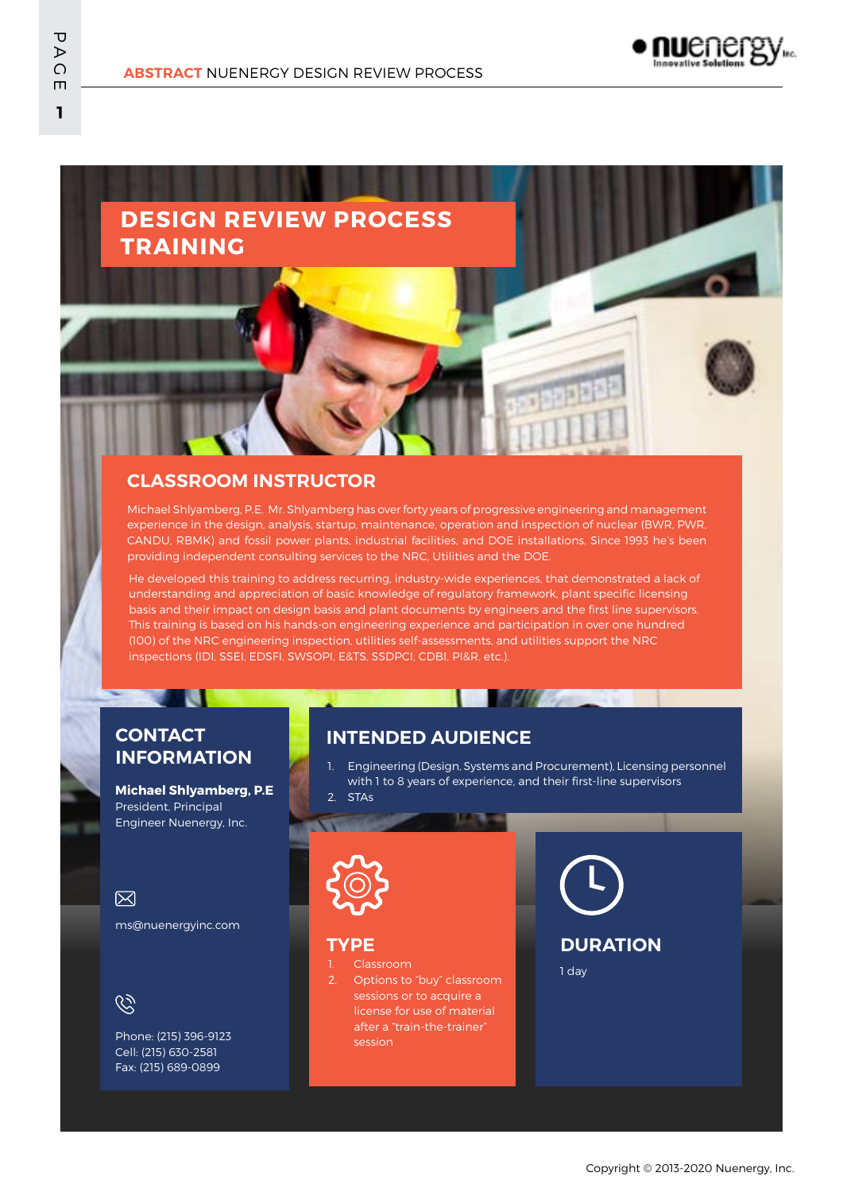## **DESIGN REVIEW PROCESS TRAINING**

## **CLASSROOM INSTRUCTOR**

Michael Shlyamberg, P.E. Mr. Shlyamberg has over forty years of progressive engineering and management experience in the design, analysis, startup, maintenance, operation and inspection of nuclear (BWR, PWR, CANDU, RBMK) and fossil power plants, industrial facilities, and DOE installations. Since 1993 he's been providing independent consulting services to the NRC, Utilities and the DOE.

He developed this training to address recurring, industry-wide experiences, that demonstrated a lack of understanding and appreciation of basic knowledge of regulatory framework, plant specific licensing basis and their impact on design basis and plant documents by engineers and the first line supervisors. This training is based on his hands-on engineering experience and participation in over one hundred (100) of the NRC engineering inspection, utilities self-assessments, and utilities support the NRC inspections (IDI, SSEI, EDSFI, SWSOPI, E&TS, SSDPCI, CDBI, PI&R, etc.).

## **CONTACT INFORMATION**

m

**Michael Shlyamberg, P.E** President, Principal Engineer Nuenergy, Inc.

## $\boxtimes$

ms@nuenergyinc.com

 $\widetilde{\mathscr{C}}$ 

Phone: (215) 396-9123 Cell: (215) 630-2581 Fax: (215) 689-0899

## **INTENDED AUDIENCE**

1. Engineering (Design, Systems and Procurement), Licensing personnel with 1 to 8 years of experience, and their first-line supervisors

**TUGS** 





#### **TYPE**

1. Classroom Options to "buy" classroom sessions or to acquire a license for use of material after a "train-the-trainer"